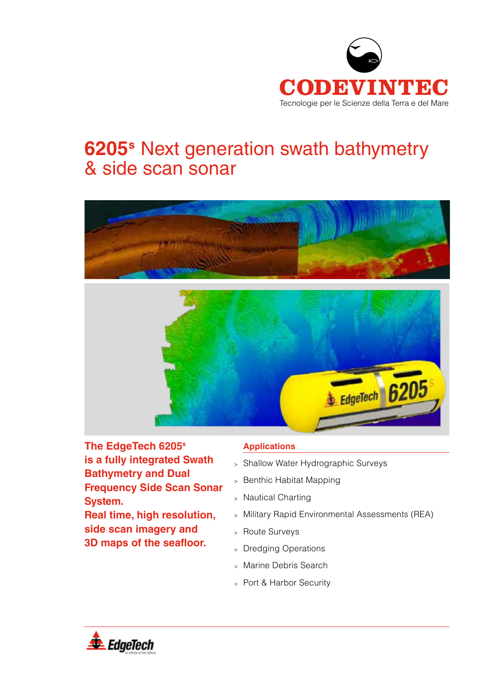

# **6205s** Next generation swath bathymetry & side scan sonar





**The EdgeTech 6205s is a fully integrated Swath Bathymetry and Dual Frequency Side Scan Sonar System. Real time, high resolution, side scan imagery and 3D maps of the seafloor.**

## **Applications**

- <sup>&</sup>gt; Shallow Water Hydrographic Surveys
- <sup>&</sup>gt; Benthic Habitat Mapping
- <sup>&</sup>gt; Nautical Charting
- <sup>&</sup>gt; Military Rapid Environmental Assessments (REA)
- <sup>&</sup>gt; Route Surveys
- <sup>&</sup>gt; Dredging Operations
- <sup>&</sup>gt; Marine Debris Search
- <sup>&</sup>gt; Port & Harbor Security